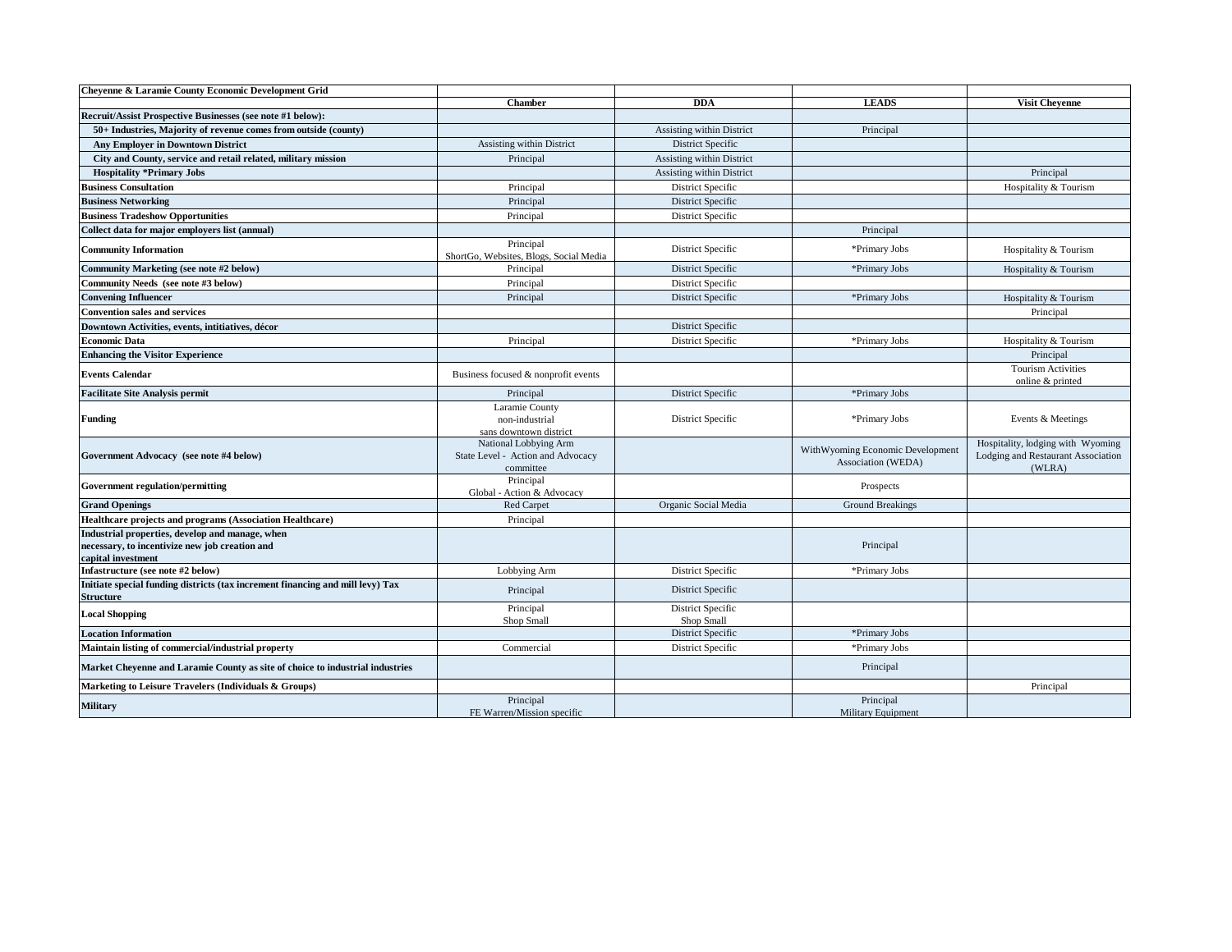| Chevenne & Laramie County Economic Development Grid                                                                     |                                                                         |                                 |                                                        |                                                                                   |
|-------------------------------------------------------------------------------------------------------------------------|-------------------------------------------------------------------------|---------------------------------|--------------------------------------------------------|-----------------------------------------------------------------------------------|
|                                                                                                                         | <b>Chamber</b>                                                          | <b>DDA</b>                      | <b>LEADS</b>                                           | <b>Visit Chevenne</b>                                                             |
| Recruit/Assist Prospective Businesses (see note #1 below):                                                              |                                                                         |                                 |                                                        |                                                                                   |
| 50+ Industries, Majority of revenue comes from outside (county)                                                         |                                                                         | Assisting within District       | Principal                                              |                                                                                   |
| <b>Any Employer in Downtown District</b>                                                                                | Assisting within District                                               | District Specific               |                                                        |                                                                                   |
| City and County, service and retail related, military mission                                                           | Principal                                                               | Assisting within District       |                                                        |                                                                                   |
| <b>Hospitality *Primary Jobs</b>                                                                                        |                                                                         | Assisting within District       |                                                        | Principal                                                                         |
| <b>Business Consultation</b>                                                                                            | Principal                                                               | District Specific               |                                                        | Hospitality & Tourism                                                             |
| <b>Business Networking</b>                                                                                              | Principal                                                               | District Specific               |                                                        |                                                                                   |
| <b>Business Tradeshow Opportunities</b>                                                                                 | Principal                                                               | District Specific               |                                                        |                                                                                   |
| Collect data for major employers list (annual)                                                                          |                                                                         |                                 | Principal                                              |                                                                                   |
| <b>Community Information</b>                                                                                            | Principal<br>ShortGo, Websites, Blogs, Social Media                     | District Specific               | *Primary Jobs                                          | Hospitality & Tourism                                                             |
| Community Marketing (see note #2 below)                                                                                 | Principal                                                               | District Specific               | *Primary Jobs                                          | Hospitality & Tourism                                                             |
| Community Needs (see note #3 below)                                                                                     | Principal                                                               | District Specific               |                                                        |                                                                                   |
| <b>Convening Influencer</b>                                                                                             | Principal                                                               | District Specific               | *Primary Jobs                                          | Hospitality & Tourism                                                             |
| <b>Convention sales and services</b>                                                                                    |                                                                         |                                 |                                                        | Principal                                                                         |
| Downtown Activities, events, intitiatives, décor                                                                        |                                                                         | District Specific               |                                                        |                                                                                   |
| <b>Economic Data</b>                                                                                                    | Principal                                                               | District Specific               | *Primary Jobs                                          | Hospitality & Tourism                                                             |
| <b>Enhancing the Visitor Experience</b>                                                                                 |                                                                         |                                 |                                                        | Principal                                                                         |
| <b>Events Calendar</b>                                                                                                  | Business focused & nonprofit events                                     |                                 |                                                        | <b>Tourism Activities</b><br>online & printed                                     |
| <b>Facilitate Site Analysis permit</b>                                                                                  | Principal                                                               | District Specific               | *Primary Jobs                                          |                                                                                   |
| <b>Funding</b>                                                                                                          | Laramie County<br>non-industrial<br>sans downtown district              | District Specific               | *Primary Jobs                                          | Events & Meetings                                                                 |
| Government Advocacy (see note #4 below)                                                                                 | National Lobbying Arm<br>State Level - Action and Advocacy<br>committee |                                 | WithWyoming Economic Development<br>Association (WEDA) | Hospitality, lodging with Wyoming<br>Lodging and Restaurant Association<br>(WLRA) |
| Government regulation/permitting                                                                                        | Principal<br>Global - Action & Advocacy                                 |                                 | Prospects                                              |                                                                                   |
| <b>Grand Openings</b>                                                                                                   | Red Carpet                                                              | Organic Social Media            | Ground Breakings                                       |                                                                                   |
| Healthcare projects and programs (Association Healthcare)                                                               | Principal                                                               |                                 |                                                        |                                                                                   |
| Industrial properties, develop and manage, when<br>necessary, to incentivize new job creation and<br>capital investment |                                                                         |                                 | Principal                                              |                                                                                   |
| Infastructure (see note #2 below)                                                                                       | Lobbying Arm                                                            | District Specific               | *Primary Jobs                                          |                                                                                   |
| Initiate special funding districts (tax increment financing and mill levy) Tax<br><b>Structure</b>                      | Principal                                                               | District Specific               |                                                        |                                                                                   |
| <b>Local Shopping</b>                                                                                                   | Principal<br>Shop Small                                                 | District Specific<br>Shop Small |                                                        |                                                                                   |
| <b>Location Information</b>                                                                                             |                                                                         | District Specific               | *Primary Jobs                                          |                                                                                   |
| Maintain listing of commercial/industrial property                                                                      | Commercial                                                              | District Specific               | *Primary Jobs                                          |                                                                                   |
| Market Cheyenne and Laramie County as site of choice to industrial industries                                           |                                                                         |                                 | Principal                                              |                                                                                   |
| Marketing to Leisure Travelers (Individuals & Groups)                                                                   |                                                                         |                                 |                                                        | Principal                                                                         |
| <b>Military</b>                                                                                                         | Principal<br>FE Warren/Mission specific                                 |                                 | Principal<br><b>Military Equipment</b>                 |                                                                                   |